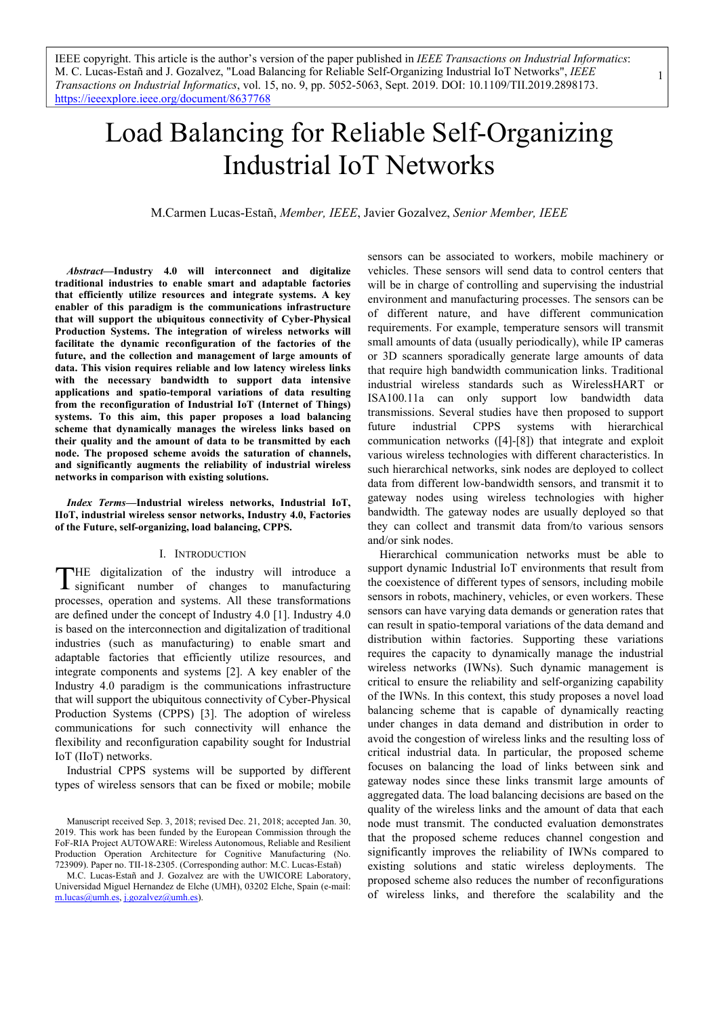# Load Balancing for Reliable Self-Organizing Industrial IoT Networks

M.Carmen Lucas-Estañ, *Member, IEEE*, Javier Gozalvez, *Senior Member, IEEE*

*Abstract***—Industry 4.0 will interconnect and digitalize traditional industries to enable smart and adaptable factories that efficiently utilize resources and integrate systems. A key enabler of this paradigm is the communications infrastructure that will support the ubiquitous connectivity of Cyber-Physical Production Systems. The integration of wireless networks will facilitate the dynamic reconfiguration of the factories of the future, and the collection and management of large amounts of data. This vision requires reliable and low latency wireless links with the necessary bandwidth to support data intensive applications and spatio-temporal variations of data resulting from the reconfiguration of Industrial IoT (Internet of Things) systems. To this aim, this paper proposes a load balancing scheme that dynamically manages the wireless links based on their quality and the amount of data to be transmitted by each node. The proposed scheme avoids the saturation of channels, and significantly augments the reliability of industrial wireless networks in comparison with existing solutions.** 

*Index Terms***—Industrial wireless networks, Industrial IoT, IIoT, industrial wireless sensor networks, Industry 4.0, Factories of the Future, self-organizing, load balancing, CPPS.** 

## I. INTRODUCTION

HE digitalization of the industry will introduce a THE digitalization of the industry will introduce a significant number of changes to manufacturing processes, operation and systems. All these transformations are defined under the concept of Industry 4.0 [1]. Industry 4.0 is based on the interconnection and digitalization of traditional industries (such as manufacturing) to enable smart and adaptable factories that efficiently utilize resources, and integrate components and systems [2]. A key enabler of the Industry 4.0 paradigm is the communications infrastructure that will support the ubiquitous connectivity of Cyber-Physical Production Systems (CPPS) [3]. The adoption of wireless communications for such connectivity will enhance the flexibility and reconfiguration capability sought for Industrial IoT (IIoT) networks.

Industrial CPPS systems will be supported by different types of wireless sensors that can be fixed or mobile; mobile

M.C. Lucas-Estañ and J. Gozalvez are with the UWICORE Laboratory, Universidad Miguel Hernandez de Elche (UMH), 03202 Elche, Spain (e-mail: m.lucas@umh.es, j.gozalvez@umh.es).

sensors can be associated to workers, mobile machinery or vehicles. These sensors will send data to control centers that will be in charge of controlling and supervising the industrial environment and manufacturing processes. The sensors can be of different nature, and have different communication requirements. For example, temperature sensors will transmit small amounts of data (usually periodically), while IP cameras or 3D scanners sporadically generate large amounts of data that require high bandwidth communication links. Traditional industrial wireless standards such as WirelessHART or ISA100.11a can only support low bandwidth data transmissions. Several studies have then proposed to support future industrial CPPS systems with hierarchical communication networks ([4]-[8]) that integrate and exploit various wireless technologies with different characteristics. In such hierarchical networks, sink nodes are deployed to collect data from different low-bandwidth sensors, and transmit it to gateway nodes using wireless technologies with higher bandwidth. The gateway nodes are usually deployed so that they can collect and transmit data from/to various sensors and/or sink nodes.

1

Hierarchical communication networks must be able to support dynamic Industrial IoT environments that result from the coexistence of different types of sensors, including mobile sensors in robots, machinery, vehicles, or even workers. These sensors can have varying data demands or generation rates that can result in spatio-temporal variations of the data demand and distribution within factories. Supporting these variations requires the capacity to dynamically manage the industrial wireless networks (IWNs). Such dynamic management is critical to ensure the reliability and self-organizing capability of the IWNs. In this context, this study proposes a novel load balancing scheme that is capable of dynamically reacting under changes in data demand and distribution in order to avoid the congestion of wireless links and the resulting loss of critical industrial data. In particular, the proposed scheme focuses on balancing the load of links between sink and gateway nodes since these links transmit large amounts of aggregated data. The load balancing decisions are based on the quality of the wireless links and the amount of data that each node must transmit. The conducted evaluation demonstrates that the proposed scheme reduces channel congestion and significantly improves the reliability of IWNs compared to existing solutions and static wireless deployments. The proposed scheme also reduces the number of reconfigurations of wireless links, and therefore the scalability and the

Manuscript received Sep. 3, 2018; revised Dec. 21, 2018; accepted Jan. 30, 2019. This work has been funded by the European Commission through the FoF-RIA Project AUTOWARE: Wireless Autonomous, Reliable and Resilient Production Operation Architecture for Cognitive Manufacturing (No. 723909). Paper no. TII-18-2305. (Corresponding author: M.C. Lucas-Estañ)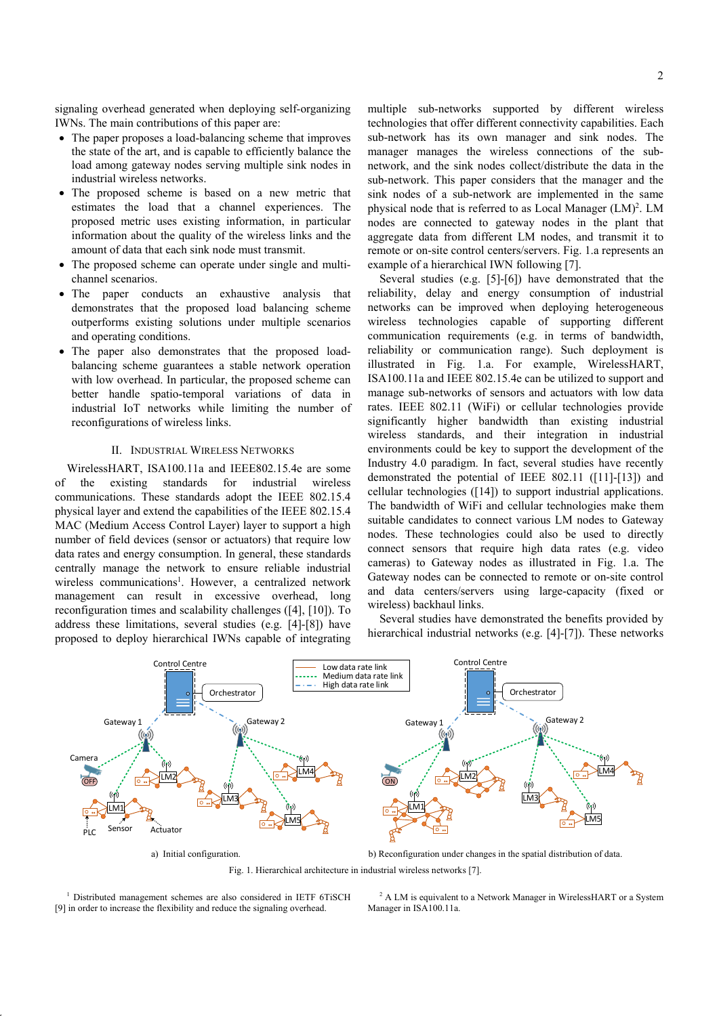signaling overhead generated when deploying self-organizing IWNs. The main contributions of this paper are:

- The paper proposes a load-balancing scheme that improves the state of the art, and is capable to efficiently balance the load among gateway nodes serving multiple sink nodes in industrial wireless networks.
- The proposed scheme is based on a new metric that estimates the load that a channel experiences. The proposed metric uses existing information, in particular information about the quality of the wireless links and the amount of data that each sink node must transmit.
- The proposed scheme can operate under single and multichannel scenarios.
- The paper conducts an exhaustive analysis that demonstrates that the proposed load balancing scheme outperforms existing solutions under multiple scenarios and operating conditions.
- The paper also demonstrates that the proposed loadbalancing scheme guarantees a stable network operation with low overhead. In particular, the proposed scheme can better handle spatio-temporal variations of data in industrial IoT networks while limiting the number of reconfigurations of wireless links.

#### II. INDUSTRIAL WIRELESS NETWORKS

WirelessHART, ISA100.11a and IEEE802.15.4e are some of the existing standards for industrial wireless communications. These standards adopt the IEEE 802.15.4 physical layer and extend the capabilities of the IEEE 802.15.4 MAC (Medium Access Control Layer) layer to support a high number of field devices (sensor or actuators) that require low data rates and energy consumption. In general, these standards centrally manage the network to ensure reliable industrial wireless communications<sup>1</sup>. However, a centralized network management can result in excessive overhead, long reconfiguration times and scalability challenges ([4], [10]). To address these limitations, several studies (e.g. [4]-[8]) have proposed to deploy hierarchical IWNs capable of integrating

multiple sub-networks supported by different wireless technologies that offer different connectivity capabilities. Each sub-network has its own manager and sink nodes. The manager manages the wireless connections of the subnetwork, and the sink nodes collect/distribute the data in the sub-network. This paper considers that the manager and the sink nodes of a sub-network are implemented in the same physical node that is referred to as Local Manager (LM)<sup>2</sup>. LM nodes are connected to gateway nodes in the plant that aggregate data from different LM nodes, and transmit it to remote or on-site control centers/servers. Fig. 1.a represents an example of a hierarchical IWN following [7].

Several studies (e.g. [5]-[6]) have demonstrated that the reliability, delay and energy consumption of industrial networks can be improved when deploying heterogeneous wireless technologies capable of supporting different communication requirements (e.g. in terms of bandwidth, reliability or communication range). Such deployment is illustrated in Fig. 1.a. For example, WirelessHART, ISA100.11a and IEEE 802.15.4e can be utilized to support and manage sub-networks of sensors and actuators with low data rates. IEEE 802.11 (WiFi) or cellular technologies provide significantly higher bandwidth than existing industrial wireless standards, and their integration in industrial environments could be key to support the development of the Industry 4.0 paradigm. In fact, several studies have recently demonstrated the potential of IEEE 802.11 ([11]-[13]) and cellular technologies ([14]) to support industrial applications. The bandwidth of WiFi and cellular technologies make them suitable candidates to connect various LM nodes to Gateway nodes. These technologies could also be used to directly connect sensors that require high data rates (e.g. video cameras) to Gateway nodes as illustrated in Fig. 1.a. The Gateway nodes can be connected to remote or on-site control and data centers/servers using large-capacity (fixed or wireless) backhaul links.

Several studies have demonstrated the benefits provided by hierarchical industrial networks (e.g. [4]-[7]). These networks



a) Initial configuration. b) Reconfiguration under changes in the spatial distribution of data.

Fig. 1. Hierarchical architecture in industrial wireless networks [7].

<sup>1</sup> Distributed management schemes are also considered in IETF 6TiSCH [9] in order to increase the flexibility and reduce the signaling overhead.

<sup>2</sup> A LM is equivalent to a Network Manager in WirelessHART or a System Manager in ISA100.11a.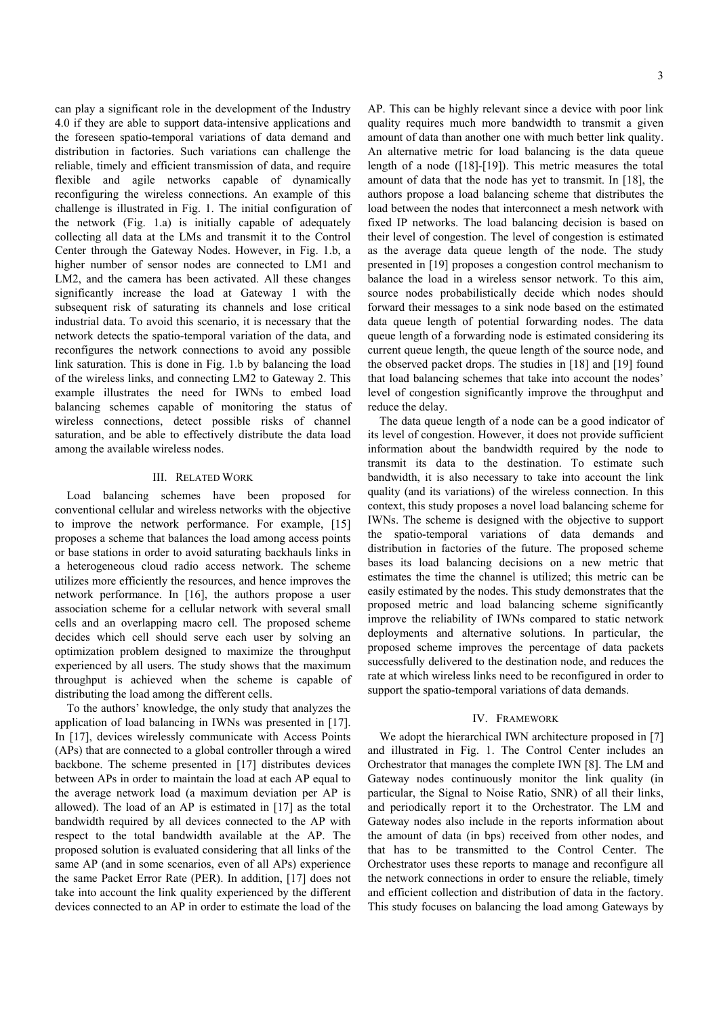can play a significant role in the development of the Industry 4.0 if they are able to support data-intensive applications and the foreseen spatio-temporal variations of data demand and distribution in factories. Such variations can challenge the reliable, timely and efficient transmission of data, and require flexible and agile networks capable of dynamically reconfiguring the wireless connections. An example of this challenge is illustrated in Fig. 1. The initial configuration of the network (Fig. 1.a) is initially capable of adequately collecting all data at the LMs and transmit it to the Control Center through the Gateway Nodes. However, in Fig. 1.b, a higher number of sensor nodes are connected to LM1 and LM2, and the camera has been activated. All these changes significantly increase the load at Gateway 1 with the subsequent risk of saturating its channels and lose critical industrial data. To avoid this scenario, it is necessary that the network detects the spatio-temporal variation of the data, and reconfigures the network connections to avoid any possible link saturation. This is done in Fig. 1.b by balancing the load of the wireless links, and connecting LM2 to Gateway 2. This example illustrates the need for IWNs to embed load balancing schemes capable of monitoring the status of wireless connections, detect possible risks of channel saturation, and be able to effectively distribute the data load among the available wireless nodes.

#### III. RELATED WORK

Load balancing schemes have been proposed for conventional cellular and wireless networks with the objective to improve the network performance. For example, [15] proposes a scheme that balances the load among access points or base stations in order to avoid saturating backhauls links in a heterogeneous cloud radio access network. The scheme utilizes more efficiently the resources, and hence improves the network performance. In [16], the authors propose a user association scheme for a cellular network with several small cells and an overlapping macro cell. The proposed scheme decides which cell should serve each user by solving an optimization problem designed to maximize the throughput experienced by all users. The study shows that the maximum throughput is achieved when the scheme is capable of distributing the load among the different cells.

To the authors' knowledge, the only study that analyzes the application of load balancing in IWNs was presented in [17]. In [17], devices wirelessly communicate with Access Points (APs) that are connected to a global controller through a wired backbone. The scheme presented in [17] distributes devices between APs in order to maintain the load at each AP equal to the average network load (a maximum deviation per AP is allowed). The load of an AP is estimated in [17] as the total bandwidth required by all devices connected to the AP with respect to the total bandwidth available at the AP. The proposed solution is evaluated considering that all links of the same AP (and in some scenarios, even of all APs) experience the same Packet Error Rate (PER). In addition, [17] does not take into account the link quality experienced by the different devices connected to an AP in order to estimate the load of the AP. This can be highly relevant since a device with poor link quality requires much more bandwidth to transmit a given amount of data than another one with much better link quality. An alternative metric for load balancing is the data queue length of a node ([18]-[19]). This metric measures the total amount of data that the node has yet to transmit. In [18], the authors propose a load balancing scheme that distributes the load between the nodes that interconnect a mesh network with fixed IP networks. The load balancing decision is based on their level of congestion. The level of congestion is estimated as the average data queue length of the node. The study presented in [19] proposes a congestion control mechanism to balance the load in a wireless sensor network. To this aim, source nodes probabilistically decide which nodes should forward their messages to a sink node based on the estimated data queue length of potential forwarding nodes. The data queue length of a forwarding node is estimated considering its current queue length, the queue length of the source node, and the observed packet drops. The studies in [18] and [19] found that load balancing schemes that take into account the nodes' level of congestion significantly improve the throughput and reduce the delay.

The data queue length of a node can be a good indicator of its level of congestion. However, it does not provide sufficient information about the bandwidth required by the node to transmit its data to the destination. To estimate such bandwidth, it is also necessary to take into account the link quality (and its variations) of the wireless connection. In this context, this study proposes a novel load balancing scheme for IWNs. The scheme is designed with the objective to support the spatio-temporal variations of data demands and distribution in factories of the future. The proposed scheme bases its load balancing decisions on a new metric that estimates the time the channel is utilized; this metric can be easily estimated by the nodes. This study demonstrates that the proposed metric and load balancing scheme significantly improve the reliability of IWNs compared to static network deployments and alternative solutions. In particular, the proposed scheme improves the percentage of data packets successfully delivered to the destination node, and reduces the rate at which wireless links need to be reconfigured in order to support the spatio-temporal variations of data demands.

## IV. FRAMEWORK

We adopt the hierarchical IWN architecture proposed in [7] and illustrated in Fig. 1. The Control Center includes an Orchestrator that manages the complete IWN [8]. The LM and Gateway nodes continuously monitor the link quality (in particular, the Signal to Noise Ratio, SNR) of all their links, and periodically report it to the Orchestrator. The LM and Gateway nodes also include in the reports information about the amount of data (in bps) received from other nodes, and that has to be transmitted to the Control Center. The Orchestrator uses these reports to manage and reconfigure all the network connections in order to ensure the reliable, timely and efficient collection and distribution of data in the factory. This study focuses on balancing the load among Gateways by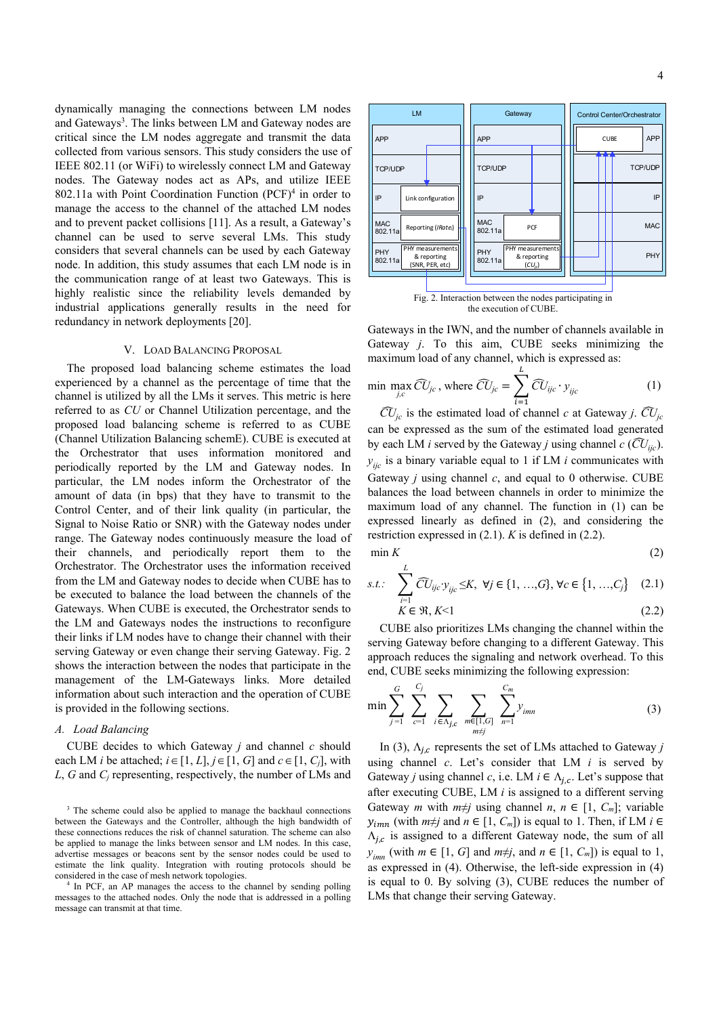dynamically managing the connections between LM nodes and Gateways<sup>3</sup>. The links between LM and Gateway nodes are critical since the LM nodes aggregate and transmit the data collected from various sensors. This study considers the use of IEEE 802.11 (or WiFi) to wirelessly connect LM and Gateway nodes. The Gateway nodes act as APs, and utilize IEEE  $802.11a$  with Point Coordination Function (PCF)<sup>4</sup> in order to manage the access to the channel of the attached LM nodes and to prevent packet collisions [11]. As a result, a Gateway's channel can be used to serve several LMs. This study considers that several channels can be used by each Gateway node. In addition, this study assumes that each LM node is in the communication range of at least two Gateways. This is highly realistic since the reliability levels demanded by industrial applications generally results in the need for redundancy in network deployments [20].

## V. LOAD BALANCING PROPOSAL

The proposed load balancing scheme estimates the load experienced by a channel as the percentage of time that the channel is utilized by all the LMs it serves. This metric is here referred to as *CU* or Channel Utilization percentage, and the proposed load balancing scheme is referred to as CUBE (Channel Utilization Balancing schemE). CUBE is executed at the Orchestrator that uses information monitored and periodically reported by the LM and Gateway nodes. In particular, the LM nodes inform the Orchestrator of the amount of data (in bps) that they have to transmit to the Control Center, and of their link quality (in particular, the Signal to Noise Ratio or SNR) with the Gateway nodes under range. The Gateway nodes continuously measure the load of their channels, and periodically report them to the Orchestrator. The Orchestrator uses the information received from the LM and Gateway nodes to decide when CUBE has to be executed to balance the load between the channels of the Gateways. When CUBE is executed, the Orchestrator sends to the LM and Gateways nodes the instructions to reconfigure their links if LM nodes have to change their channel with their serving Gateway or even change their serving Gateway. Fig. 2 shows the interaction between the nodes that participate in the management of the LM-Gateways links. More detailed information about such interaction and the operation of CUBE is provided in the following sections.

#### *A. Load Balancing*

CUBE decides to which Gateway *j* and channel *c* should each LM *i* be attached;  $i \in [1, L]$ ,  $j \in [1, G]$  and  $c \in [1, C_j]$ , with *L*, *G* and *Cj* representing, respectively, the number of LMs and



Gateways in the IWN, and the number of channels available in Gateway *j*. To this aim, CUBE seeks minimizing the maximum load of any channel, which is expressed as:

$$
\min \max_{j,c} \widehat{CU}_{jc}, \text{ where } \widehat{CU}_{jc} = \sum_{i=1}^{L} \widehat{CU}_{ijc} \cdot y_{ijc} \tag{1}
$$

 $\widetilde{CU}_{jc}$  is the estimated load of channel *c* at Gateway *j*.  $\widetilde{CU}_{jc}$ can be expressed as the sum of the estimated load generated by each LM *i* served by the Gateway *j* using channel  $c$  ( $\widehat{CU}_{ijc}$ ).  $y_{ijc}$  is a binary variable equal to 1 if LM *i* communicates with Gateway *j* using channel *c*, and equal to 0 otherwise. CUBE balances the load between channels in order to minimize the maximum load of any channel. The function in (1) can be expressed linearly as defined in (2), and considering the restriction expressed in (2.1). *K* is defined in (2.2).

min  $K$  (2)

s.t.: 
$$
\sum_{i=1}^{L} \widehat{CU}_{ijc} y_{ijc} \leq K, \ \forall j \in \{1, ..., G\}, \forall c \in \{1, ..., C_j\} \quad (2.1)
$$

$$
K \in \mathfrak{R}, K < 1 \tag{2.2}
$$

CUBE also prioritizes LMs changing the channel within the serving Gateway before changing to a different Gateway. This approach reduces the signaling and network overhead. To this end, CUBE seeks minimizing the following expression:

$$
\min \sum_{j=1}^{G} \sum_{c=1}^{C_j} \sum_{i \in \Lambda_{j,c}} \sum_{m \in [1,G]} \sum_{n=1}^{C_m} y_{jmn}
$$
(3)

In (3),  $\Lambda_{i,c}$  represents the set of LMs attached to Gateway *j* using channel *c*. Let's consider that LM *i* is served by Gateway *j* using channel *c*, i.e. LM  $i \in \Lambda_{i.c}$ . Let's suppose that after executing CUBE, LM *i* is assigned to a different serving Gateway *m* with  $m \neq j$  using channel *n*,  $n \in [1, C_m]$ ; variable  $y_{imn}$  (with  $m \neq j$  and  $n \in [1, C_m]$ ) is equal to 1. Then, if LM  $i \in$  $\Lambda_{j,c}$  is assigned to a different Gateway node, the sum of all *y<sub>imn</sub>* (with  $m \in [1, G]$  and  $m \neq j$ , and  $n \in [1, C_m]$ ) is equal to 1, as expressed in (4). Otherwise, the left-side expression in (4) is equal to 0. By solving (3), CUBE reduces the number of LMs that change their serving Gateway.

<sup>&</sup>lt;sup>3</sup> The scheme could also be applied to manage the backhaul connections between the Gateways and the Controller, although the high bandwidth of these connections reduces the risk of channel saturation. The scheme can also be applied to manage the links between sensor and LM nodes. In this case, advertise messages or beacons sent by the sensor nodes could be used to estimate the link quality. Integration with routing protocols should be considered in the case of mesh network topologies. 4

In PCF, an AP manages the access to the channel by sending polling messages to the attached nodes. Only the node that is addressed in a polling message can transmit at that time.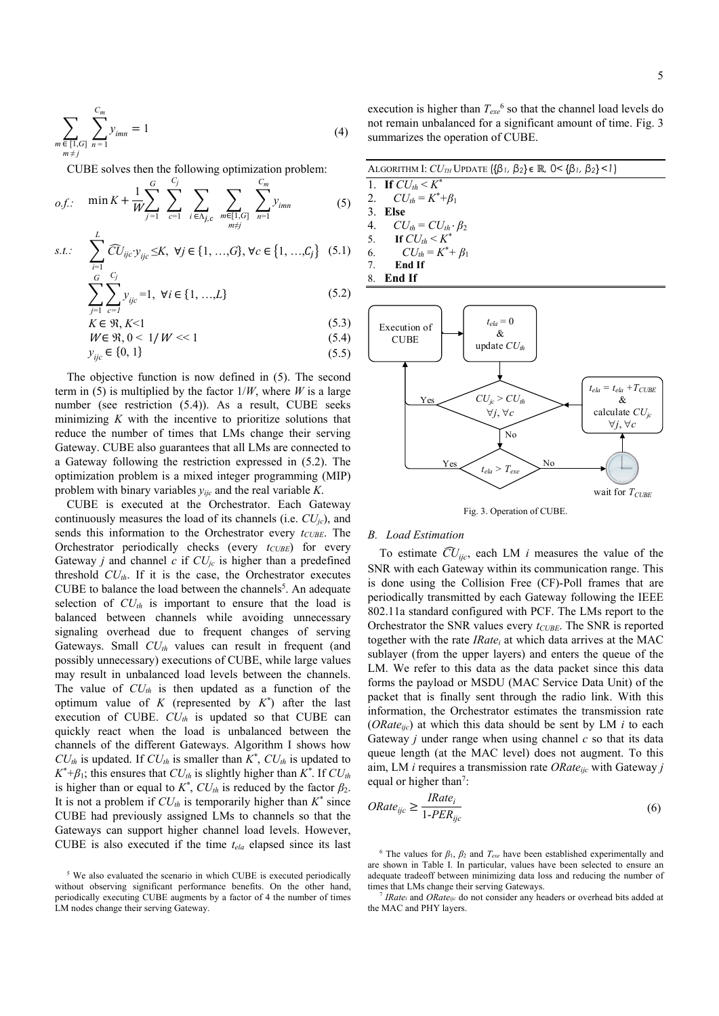$$
\sum_{\substack{m \in [1, G] \\ m \neq j}} \sum_{n=1}^{C_m} y_{imn} = 1
$$
 (4)

CUBE solves then the following optimization problem:

*o.f.*: 
$$
\min K + \frac{1}{W} \sum_{j=1}^{G} \sum_{c=1}^{C_j} \sum_{i \in \Lambda_{j,c}} \sum_{m \in [1,G]} \sum_{n=1}^{C_m} y_{imn}
$$
 (5)

s.t.: 
$$
\sum_{i=1}^{n} \widehat{CV}_{ijc} y_{ijc} \leq K, \ \forall j \in \{1, ..., G\}, \forall c \in \{1, ..., C_j\} \quad (5.1)
$$

$$
\sum_{j=1}^{G} \sum_{c=1}^{C_j} y_{ijc} = 1, \ \forall i \in \{1, ..., L\}
$$
 (5.2)

$$
K \in \mathfrak{R}, K<1
$$
 (5.3)

$$
W \in \mathfrak{R}, 0 < 1/W < 1 \tag{5.4}
$$
\n
$$
W \in \mathfrak{L}(0, 1) \tag{5.5}
$$

$$
y_{ijc} \in \{0, 1\} \tag{5.5}
$$

The objective function is now defined in (5). The second term in (5) is multiplied by the factor  $1/W$ , where *W* is a large number (see restriction (5.4)). As a result, CUBE seeks minimizing *K* with the incentive to prioritize solutions that reduce the number of times that LMs change their serving Gateway. CUBE also guarantees that all LMs are connected to a Gateway following the restriction expressed in (5.2). The optimization problem is a mixed integer programming (MIP) problem with binary variables *yijc* and the real variable *K*.

CUBE is executed at the Orchestrator. Each Gateway continuously measures the load of its channels (i.e. *CUjc*), and sends this information to the Orchestrator every *t<sub>CUBE*</sub>. The Orchestrator periodically checks (every  $t_{CUBE}$ ) for every Gateway *j* and channel *c* if  $CU<sub>jc</sub>$  is higher than a predefined threshold  $CU<sub>th</sub>$ . If it is the case, the Orchestrator executes CUBE to balance the load between the channels<sup>5</sup>. An adequate selection of  $CU<sub>th</sub>$  is important to ensure that the load is balanced between channels while avoiding unnecessary signaling overhead due to frequent changes of serving Gateways. Small  $CU<sub>th</sub>$  values can result in frequent (and possibly unnecessary) executions of CUBE, while large values may result in unbalanced load levels between the channels. The value of  $CU<sub>th</sub>$  is then updated as a function of the optimum value of  $K$  (represented by  $K^*$ ) after the last execution of CUBE.  $CU<sub>th</sub>$  is updated so that CUBE can quickly react when the load is unbalanced between the channels of the different Gateways. Algorithm I shows how  $CU<sub>th</sub>$  is updated. If  $CU<sub>th</sub>$  is smaller than  $K^*$ ,  $CU<sub>th</sub>$  is updated to  $K^*$ + $\beta_1$ ; this ensures that  $CU_{th}$  is slightly higher than  $K^*$ . If  $CU_{th}$ is higher than or equal to  $K^*$ ,  $CU<sub>th</sub>$  is reduced by the factor  $\beta_2$ . It is not a problem if  $CU<sub>th</sub>$  is temporarily higher than  $K^*$  since CUBE had previously assigned LMs to channels so that the Gateways can support higher channel load levels. However, CUBE is also executed if the time *tela* elapsed since its last

execution is higher than  $T_{ex}$ <sup>6</sup> so that the channel load levels do not remain unbalanced for a significant amount of time. Fig. 3 summarizes the operation of CUBE.



Fig. 3. Operation of CUBE.

## *B. Load Estimation*

To estimate  $\widehat{CU}_{\text{lic}}$ , each LM *i* measures the value of the SNR with each Gateway within its communication range. This is done using the Collision Free (CF)-Poll frames that are periodically transmitted by each Gateway following the IEEE 802.11a standard configured with PCF. The LMs report to the Orchestrator the SNR values every *tcube*. The SNR is reported together with the rate *IRatei* at which data arrives at the MAC sublayer (from the upper layers) and enters the queue of the LM. We refer to this data as the data packet since this data forms the payload or MSDU (MAC Service Data Unit) of the packet that is finally sent through the radio link. With this information, the Orchestrator estimates the transmission rate (*ORateijc*) at which this data should be sent by LM *i* to each Gateway *j* under range when using channel *c* so that its data queue length (at the MAC level) does not augment. To this aim, LM *i* requires a transmission rate *ORateijc* with Gateway *j* equal or higher than<sup>7</sup>:

$$
ORate_{ijc} \ge \frac{IRate_i}{1-PER_{ijc}}\tag{6}
$$

<sup>6</sup> The values for  $β_1$ ,  $β_2$  and  $T_{exe}$  have been established experimentally and are shown in Table I. In particular, values have been selected to ensure an adequate tradeoff between minimizing data loss and reducing the number of

times that LMs change their serving Gateways.<br><sup>7</sup> *IRate<sub>i</sub>* and *ORate<sub>ijc</sub>* do not consider any headers or overhead bits added at the MAC and PHY layers.

<sup>&</sup>lt;sup>5</sup> We also evaluated the scenario in which CUBE is executed periodically without observing significant performance benefits. On the other hand, periodically executing CUBE augments by a factor of 4 the number of times LM nodes change their serving Gateway.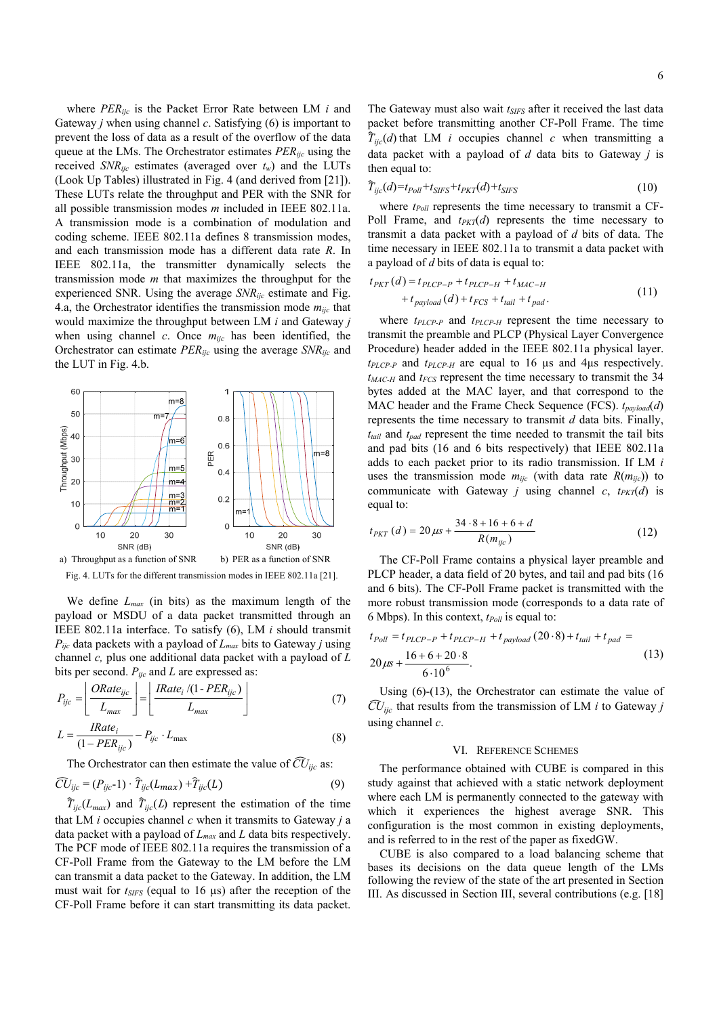where *PERijc* is the Packet Error Rate between LM *i* and Gateway *j* when using channel *c*. Satisfying (6) is important to prevent the loss of data as a result of the overflow of the data queue at the LMs. The Orchestrator estimates *PERijc* using the received  $SNR_{ijc}$  estimates (averaged over  $t_w$ ) and the LUTs (Look Up Tables) illustrated in Fig. 4 (and derived from [21]). These LUTs relate the throughput and PER with the SNR for all possible transmission modes *m* included in IEEE 802.11a. A transmission mode is a combination of modulation and coding scheme. IEEE 802.11a defines 8 transmission modes, and each transmission mode has a different data rate *R*. In IEEE 802.11a, the transmitter dynamically selects the transmission mode *m* that maximizes the throughput for the experienced SNR. Using the average *SNRijc* estimate and Fig. 4.a, the Orchestrator identifies the transmission mode  $m_{ijc}$  that would maximize the throughput between LM *i* and Gateway *j* when using channel *c*. Once *mijc* has been identified, the Orchestrator can estimate *PERijc* using the average *SNRijc* and the LUT in Fig. 4.b.





We define *Lmax* (in bits) as the maximum length of the payload or MSDU of a data packet transmitted through an IEEE 802.11a interface. To satisfy (6), LM *i* should transmit *Pijc* data packets with a payload of *Lmax* bits to Gateway *j* using channel *c,* plus one additional data packet with a payload of *L* bits per second. *Pijc* and *L* are expressed as:

$$
P_{ijc} = \left[ \frac{ORate_{ijc}}{L_{max}} \right] = \left[ \frac{IRate_i / (1 - PER_{ijc})}{L_{max}} \right]
$$
 (7)

$$
L = \frac{IRate_i}{(1 - PER_{ijc})} - P_{ijc} \cdot L_{\text{max}}
$$
\n(8)

The Orchestrator can then estimate the value of  $\widehat{CU}_{ijc}$  as:

$$
\widehat{CU}_{ijc} = (P_{ijc}-1) \cdot \widehat{T}_{ijc}(L_{max}) + \widehat{T}_{ijc}(L) \tag{9}
$$

 $\hat{T}_{ijc}(L_{max})$  and  $\hat{T}_{ijc}(L)$  represent the estimation of the time that LM *i* occupies channel *c* when it transmits to Gateway *j* a data packet with a payload of *Lmax* and *L* data bits respectively. The PCF mode of IEEE 802.11a requires the transmission of a CF-Poll Frame from the Gateway to the LM before the LM can transmit a data packet to the Gateway. In addition, the LM must wait for  $t_{SIFS}$  (equal to 16  $\mu$ s) after the reception of the CF-Poll Frame before it can start transmitting its data packet.

The Gateway must also wait *tSIFS* after it received the last data packet before transmitting another CF-Poll Frame. The time  $\hat{T}_{ijc}(d)$  that LM *i* occupies channel *c* when transmitting a data packet with a payload of *d* data bits to Gateway *j* is then equal to:

$$
\hat{T}_{ijc}(d) = t_{Poll} + t_{SIFS} + t_{PKT}(d) + t_{SIFS}
$$
\n
$$
(10)
$$

where  $t_{Poll}$  represents the time necessary to transmit a CF-Poll Frame, and  $t_{PKT}(d)$  represents the time necessary to transmit a data packet with a payload of *d* bits of data. The time necessary in IEEE 802.11a to transmit a data packet with a payload of *d* bits of data is equal to:

$$
t_{PKT}(d) = t_{PLCP-P} + t_{PLCP-H} + t_{MAC-H}
$$
  
+ 
$$
t_{payload}(d) + t_{FCS} + t_{tail} + t_{pad}.
$$
 (11)

where  $t_{PLCP-P}$  and  $t_{PLCP-H}$  represent the time necessary to transmit the preamble and PLCP (Physical Layer Convergence Procedure) header added in the IEEE 802.11a physical layer. *tPLCP-P* and *tPLCP-H* are equal to 16 µs and 4µs respectively. *tMAC-H* and *tFCS* represent the time necessary to transmit the 34 bytes added at the MAC layer, and that correspond to the MAC header and the Frame Check Sequence (FCS). *tpayload*(*d*) represents the time necessary to transmit *d* data bits. Finally, *ttail* and *tpad* represent the time needed to transmit the tail bits and pad bits (16 and 6 bits respectively) that IEEE 802.11a adds to each packet prior to its radio transmission. If LM *i* uses the transmission mode  $m_{ijc}$  (with data rate  $R(m_{ijc})$ ) to communicate with Gateway *j* using channel *c*,  $t_{PKT}(d)$  is equal to:

$$
t_{PKT}(d) = 20 \,\mu s + \frac{34 \cdot 8 + 16 + 6 + d}{R(m_{ijc})} \tag{12}
$$

The CF-Poll Frame contains a physical layer preamble and PLCP header, a data field of 20 bytes, and tail and pad bits (16 and 6 bits). The CF-Poll Frame packet is transmitted with the more robust transmission mode (corresponds to a data rate of 6 Mbps). In this context,  $t_{Poll}$  is equal to:

$$
t_{Poll} = t_{PLCP-P} + t_{PLCP-H} + t_{payload} (20.8) + t_{tail} + t_{pad} = 20 \mu s + \frac{16 + 6 + 20.8}{6.10^6}.
$$
 (13)

Using (6)-(13), the Orchestrator can estimate the value of  $\tilde{CU}_{ijc}$  that results from the transmission of LM *i* to Gateway *j* using channel *c*.

#### VI. REFERENCE SCHEMES

The performance obtained with CUBE is compared in this study against that achieved with a static network deployment where each LM is permanently connected to the gateway with which it experiences the highest average SNR. This configuration is the most common in existing deployments, and is referred to in the rest of the paper as fixedGW.

CUBE is also compared to a load balancing scheme that bases its decisions on the data queue length of the LMs following the review of the state of the art presented in Section III. As discussed in Section III, several contributions (e.g. [18]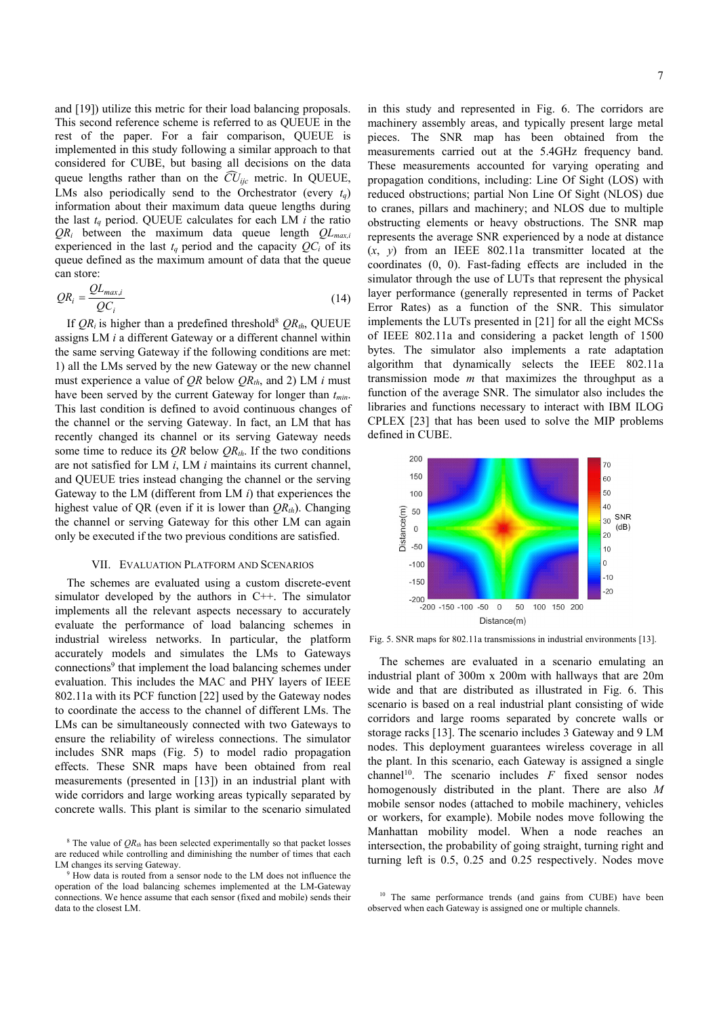and [19]) utilize this metric for their load balancing proposals. This second reference scheme is referred to as QUEUE in the rest of the paper. For a fair comparison, QUEUE is implemented in this study following a similar approach to that considered for CUBE, but basing all decisions on the data queue lengths rather than on the  $\widehat{CV}_{\text{lic}}$  metric. In QUEUE, LMs also periodically send to the Orchestrator (every  $t_q$ ) information about their maximum data queue lengths during the last  $t_q$  period. OUEUE calculates for each LM  $i$  the ratio  $QR_i$  between the maximum data queue length  $QL_{max,i}$ experienced in the last  $t_q$  period and the capacity  $OC_i$  of its

can store:  
\n
$$
QR_i = \frac{QL_{max,i}}{QC_i}
$$
\n(14)

queue defined as the maximum amount of data that the queue

If  $QR_i$  is higher than a predefined threshold<sup>8</sup>  $QR_{th}$ , QUEUE assigns LM *i* a different Gateway or a different channel within the same serving Gateway if the following conditions are met: 1) all the LMs served by the new Gateway or the new channel must experience a value of *QR* below *QRth*, and 2) LM *i* must have been served by the current Gateway for longer than *tmin*. This last condition is defined to avoid continuous changes of the channel or the serving Gateway. In fact, an LM that has recently changed its channel or its serving Gateway needs some time to reduce its  $QR$  below  $QR<sub>th</sub>$ . If the two conditions are not satisfied for LM *i*, LM *i* maintains its current channel, and QUEUE tries instead changing the channel or the serving Gateway to the LM (different from LM *i*) that experiences the highest value of QR (even if it is lower than  $OR<sub>th</sub>$ ). Changing the channel or serving Gateway for this other LM can again only be executed if the two previous conditions are satisfied.

#### VII. EVALUATION PLATFORM AND SCENARIOS

The schemes are evaluated using a custom discrete-event simulator developed by the authors in C++. The simulator implements all the relevant aspects necessary to accurately evaluate the performance of load balancing schemes in industrial wireless networks. In particular, the platform accurately models and simulates the LMs to Gateways connections<sup>9</sup> that implement the load balancing schemes under evaluation. This includes the MAC and PHY layers of IEEE 802.11a with its PCF function [22] used by the Gateway nodes to coordinate the access to the channel of different LMs. The LMs can be simultaneously connected with two Gateways to ensure the reliability of wireless connections. The simulator includes SNR maps (Fig. 5) to model radio propagation effects. These SNR maps have been obtained from real measurements (presented in [13]) in an industrial plant with wide corridors and large working areas typically separated by concrete walls. This plant is similar to the scenario simulated

in this study and represented in Fig. 6. The corridors are machinery assembly areas, and typically present large metal pieces. The SNR map has been obtained from the measurements carried out at the 5.4GHz frequency band. These measurements accounted for varying operating and propagation conditions, including: Line Of Sight (LOS) with reduced obstructions; partial Non Line Of Sight (NLOS) due to cranes, pillars and machinery; and NLOS due to multiple obstructing elements or heavy obstructions. The SNR map represents the average SNR experienced by a node at distance  $(x, y)$  from an IEEE 802.11a transmitter located at the coordinates (0, 0). Fast-fading effects are included in the simulator through the use of LUTs that represent the physical layer performance (generally represented in terms of Packet Error Rates) as a function of the SNR. This simulator implements the LUTs presented in [21] for all the eight MCSs of IEEE 802.11a and considering a packet length of 1500 bytes. The simulator also implements a rate adaptation algorithm that dynamically selects the IEEE 802.11a transmission mode *m* that maximizes the throughput as a function of the average SNR. The simulator also includes the libraries and functions necessary to interact with IBM ILOG CPLEX [23] that has been used to solve the MIP problems defined in CUBE.



Fig. 5. SNR maps for 802.11a transmissions in industrial environments [13].

The schemes are evaluated in a scenario emulating an industrial plant of 300m x 200m with hallways that are 20m wide and that are distributed as illustrated in Fig. 6. This scenario is based on a real industrial plant consisting of wide corridors and large rooms separated by concrete walls or storage racks [13]. The scenario includes 3 Gateway and 9 LM nodes. This deployment guarantees wireless coverage in all the plant. In this scenario, each Gateway is assigned a single channel<sup>10</sup>. The scenario includes  $F$  fixed sensor nodes homogenously distributed in the plant. There are also *M* mobile sensor nodes (attached to mobile machinery, vehicles or workers, for example). Mobile nodes move following the Manhattan mobility model. When a node reaches an intersection, the probability of going straight, turning right and turning left is 0.5, 0.25 and 0.25 respectively. Nodes move

 $8$  The value of  $QR<sub>th</sub>$  has been selected experimentally so that packet losses are reduced while controlling and diminishing the number of times that each LM changes its serving Gateway.

How data is routed from a sensor node to the LM does not influence the operation of the load balancing schemes implemented at the LM-Gateway connections. We hence assume that each sensor (fixed and mobile) sends their data to the closest LM.

<sup>&</sup>lt;sup>10</sup> The same performance trends (and gains from CUBE) have been observed when each Gateway is assigned one or multiple channels.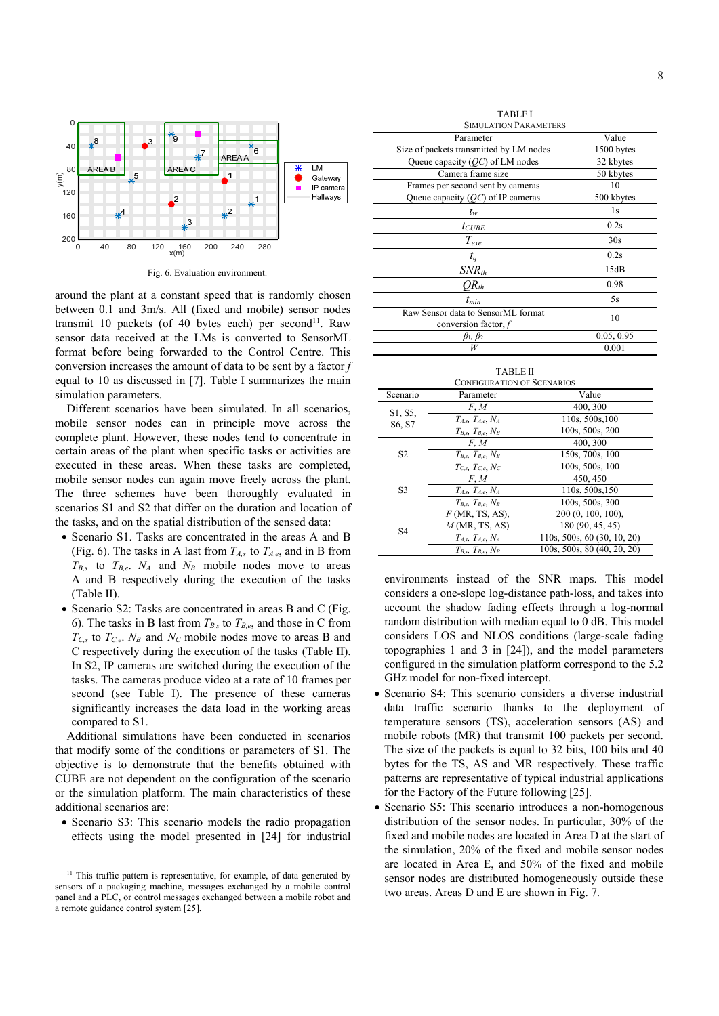

Fig. 6. Evaluation environment.

around the plant at a constant speed that is randomly chosen between 0.1 and 3m/s. All (fixed and mobile) sensor nodes transmit 10 packets (of 40 bytes each) per second<sup>11</sup>. Raw sensor data received at the LMs is converted to SensorML format before being forwarded to the Control Centre. This conversion increases the amount of data to be sent by a factor *f* equal to 10 as discussed in [7]. Table I summarizes the main simulation parameters.

Different scenarios have been simulated. In all scenarios, mobile sensor nodes can in principle move across the complete plant. However, these nodes tend to concentrate in certain areas of the plant when specific tasks or activities are executed in these areas. When these tasks are completed, mobile sensor nodes can again move freely across the plant. The three schemes have been thoroughly evaluated in scenarios S1 and S2 that differ on the duration and location of the tasks, and on the spatial distribution of the sensed data:

- Scenario S1. Tasks are concentrated in the areas A and B (Fig. 6). The tasks in A last from  $T_{A,s}$  to  $T_{A,e}$ , and in B from  $T_{B,s}$  to  $T_{B,e}$ .  $N_A$  and  $N_B$  mobile nodes move to areas A and B respectively during the execution of the tasks (Table II).
- Scenario S2: Tasks are concentrated in areas B and C (Fig. 6). The tasks in B last from  $T_{B,s}$  to  $T_{B,e}$ , and those in C from  $T_{C,s}$  to  $T_{C,e}$ .  $N_B$  and  $N_C$  mobile nodes move to areas B and C respectively during the execution of the tasks (Table II). In S2, IP cameras are switched during the execution of the tasks. The cameras produce video at a rate of 10 frames per second (see Table I). The presence of these cameras significantly increases the data load in the working areas compared to S1.

Additional simulations have been conducted in scenarios that modify some of the conditions or parameters of S1. The objective is to demonstrate that the benefits obtained with CUBE are not dependent on the configuration of the scenario or the simulation platform. The main characteristics of these additional scenarios are:

• Scenario S3: This scenario models the radio propagation effects using the model presented in [24] for industrial

| <b>TABLEI</b>        |
|----------------------|
| I A TIONI PAD AMETED |

| <b>SIMULATION PARAMETERS</b>            |            |
|-----------------------------------------|------------|
| Parameter                               | Value      |
| Size of packets transmitted by LM nodes | 1500 bytes |
| Queue capacity $(OC)$ of LM nodes       | 32 kbytes  |
| Camera frame size                       | 50 kbytes  |
| Frames per second sent by cameras       | 10         |
| Queue capacity $(QC)$ of IP cameras     | 500 kbytes |
| $t_w$                                   | 1s         |
| $t_{CUBE}$                              | 0.2s       |
| $T_{exe}$                               | 30s        |
| $t_q$                                   | 0.2s       |
| $SNR_{th}$                              | 15dB       |
| $QR_{th}$                               | 0.98       |
| $t_{min}$                               | 5s         |
| Raw Sensor data to SensorML format      | 10         |
| conversion factor, $f$                  |            |
| $\beta_1, \beta_2$                      | 0.05, 0.95 |
| W                                       | 0.001      |

| TABLE II                                   |                               |                             |  |  |  |
|--------------------------------------------|-------------------------------|-----------------------------|--|--|--|
| <b>CONFIGURATION OF SCENARIOS</b>          |                               |                             |  |  |  |
| Scenario                                   | Parameter                     | Value                       |  |  |  |
|                                            | F, M                          | 400, 300                    |  |  |  |
| S1, S5,<br>S <sub>6</sub> , S <sub>7</sub> | $T_{A,s}$ , $T_{A,e}$ , $N_A$ | 110s, 500s, 100             |  |  |  |
|                                            | $T_{B,s}, T_{B,e}, N_B$       | 100s, 500s, 200             |  |  |  |
|                                            | F, M                          | 400, 300                    |  |  |  |
| S <sub>2</sub>                             | $T_{B,s}$ , $T_{B,e}$ , $N_B$ | 150s, 700s, 100             |  |  |  |
|                                            | $T_{C,s}$ , $T_{C,e}$ , $N_C$ | 100s, 500s, 100             |  |  |  |
|                                            | F, M                          | 450, 450                    |  |  |  |
| S <sub>3</sub>                             | $T_{A,s}$ , $T_{A,e}$ , $N_A$ | 110s, 500s, 150             |  |  |  |
|                                            | $T_{B,s}$ , $T_{B,e}$ , $N_B$ | 100s, 500s, 300             |  |  |  |
|                                            | F(MR, TS, AS),                | $200(0, 100, 100)$ ,        |  |  |  |
| S <sub>4</sub>                             | M(MR, TS, AS)                 | 180 (90, 45, 45)            |  |  |  |
|                                            | $T_{A.s.}$ $T_{A.e.}$ $N_A$   | 110s, 500s, 60(30, 10, 20)  |  |  |  |
|                                            | $T_{B,s}$ , $T_{B,e}$ , $N_B$ | 100s, 500s, 80 (40, 20, 20) |  |  |  |

environments instead of the SNR maps. This model considers a one-slope log-distance path-loss, and takes into account the shadow fading effects through a log-normal random distribution with median equal to 0 dB. This model considers LOS and NLOS conditions (large-scale fading topographies 1 and 3 in [24]), and the model parameters configured in the simulation platform correspond to the 5.2 GHz model for non-fixed intercept.

- Scenario S4: This scenario considers a diverse industrial data traffic scenario thanks to the deployment of temperature sensors (TS), acceleration sensors (AS) and mobile robots (MR) that transmit 100 packets per second. The size of the packets is equal to 32 bits, 100 bits and 40 bytes for the TS, AS and MR respectively. These traffic patterns are representative of typical industrial applications for the Factory of the Future following [25].
- Scenario S5: This scenario introduces a non-homogenous distribution of the sensor nodes. In particular, 30% of the fixed and mobile nodes are located in Area D at the start of the simulation, 20% of the fixed and mobile sensor nodes are located in Area E, and 50% of the fixed and mobile sensor nodes are distributed homogeneously outside these two areas. Areas D and E are shown in Fig. 7.

<sup>&</sup>lt;sup>11</sup> This traffic pattern is representative, for example, of data generated by sensors of a packaging machine, messages exchanged by a mobile control panel and a PLC, or control messages exchanged between a mobile robot and a remote guidance control system [25].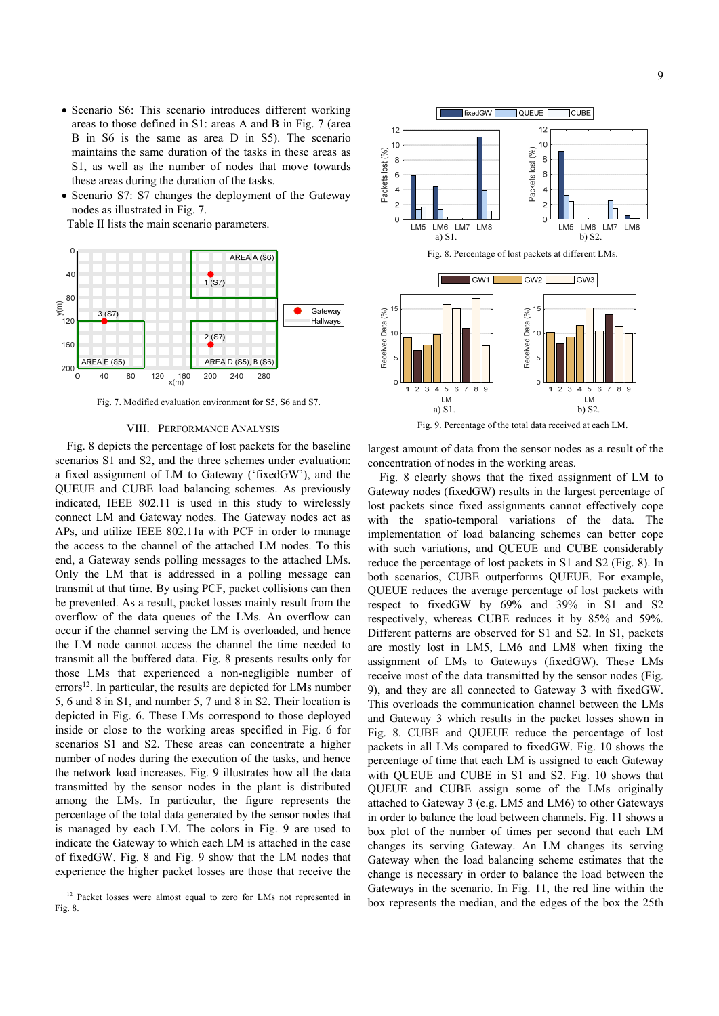- Scenario S6: This scenario introduces different working areas to those defined in S1: areas A and B in Fig. 7 (area B in S6 is the same as area D in S5). The scenario maintains the same duration of the tasks in these areas as S1, as well as the number of nodes that move towards these areas during the duration of the tasks.
- Scenario S7: S7 changes the deployment of the Gateway nodes as illustrated in Fig. 7.

Table II lists the main scenario parameters.



Fig. 7. Modified evaluation environment for S5, S6 and S7.

### VIII. PERFORMANCE ANALYSIS

Fig. 8 depicts the percentage of lost packets for the baseline scenarios S1 and S2, and the three schemes under evaluation: a fixed assignment of LM to Gateway ('fixedGW'), and the QUEUE and CUBE load balancing schemes. As previously indicated, IEEE 802.11 is used in this study to wirelessly connect LM and Gateway nodes. The Gateway nodes act as APs, and utilize IEEE 802.11a with PCF in order to manage the access to the channel of the attached LM nodes. To this end, a Gateway sends polling messages to the attached LMs. Only the LM that is addressed in a polling message can transmit at that time. By using PCF, packet collisions can then be prevented. As a result, packet losses mainly result from the overflow of the data queues of the LMs. An overflow can occur if the channel serving the LM is overloaded, and hence the LM node cannot access the channel the time needed to transmit all the buffered data. Fig. 8 presents results only for those LMs that experienced a non-negligible number of  $\text{errors}^{12}$ . In particular, the results are depicted for LMs number 5, 6 and 8 in S1, and number 5, 7 and 8 in S2. Their location is depicted in Fig. 6. These LMs correspond to those deployed inside or close to the working areas specified in Fig. 6 for scenarios S1 and S2. These areas can concentrate a higher number of nodes during the execution of the tasks, and hence the network load increases. Fig. 9 illustrates how all the data transmitted by the sensor nodes in the plant is distributed among the LMs. In particular, the figure represents the percentage of the total data generated by the sensor nodes that is managed by each LM. The colors in Fig. 9 are used to indicate the Gateway to which each LM is attached in the case of fixedGW. Fig. 8 and Fig. 9 show that the LM nodes that experience the higher packet losses are those that receive the



largest amount of data from the sensor nodes as a result of the concentration of nodes in the working areas.

Fig. 8 clearly shows that the fixed assignment of LM to Gateway nodes (fixedGW) results in the largest percentage of lost packets since fixed assignments cannot effectively cope with the spatio-temporal variations of the data. The implementation of load balancing schemes can better cope with such variations, and QUEUE and CUBE considerably reduce the percentage of lost packets in S1 and S2 (Fig. 8). In both scenarios, CUBE outperforms QUEUE. For example, QUEUE reduces the average percentage of lost packets with respect to fixedGW by 69% and 39% in S1 and S2 respectively, whereas CUBE reduces it by 85% and 59%. Different patterns are observed for S1 and S2. In S1, packets are mostly lost in LM5, LM6 and LM8 when fixing the assignment of LMs to Gateways (fixedGW). These LMs receive most of the data transmitted by the sensor nodes (Fig. 9), and they are all connected to Gateway 3 with fixedGW. This overloads the communication channel between the LMs and Gateway 3 which results in the packet losses shown in Fig. 8. CUBE and QUEUE reduce the percentage of lost packets in all LMs compared to fixedGW. Fig. 10 shows the percentage of time that each LM is assigned to each Gateway with QUEUE and CUBE in S1 and S2. Fig. 10 shows that QUEUE and CUBE assign some of the LMs originally attached to Gateway 3 (e.g. LM5 and LM6) to other Gateways in order to balance the load between channels. Fig. 11 shows a box plot of the number of times per second that each LM changes its serving Gateway. An LM changes its serving Gateway when the load balancing scheme estimates that the change is necessary in order to balance the load between the Gateways in the scenario. In Fig. 11, the red line within the box represents the median, and the edges of the box the 25th

<sup>&</sup>lt;sup>12</sup> Packet losses were almost equal to zero for LMs not represented in Fig. 8.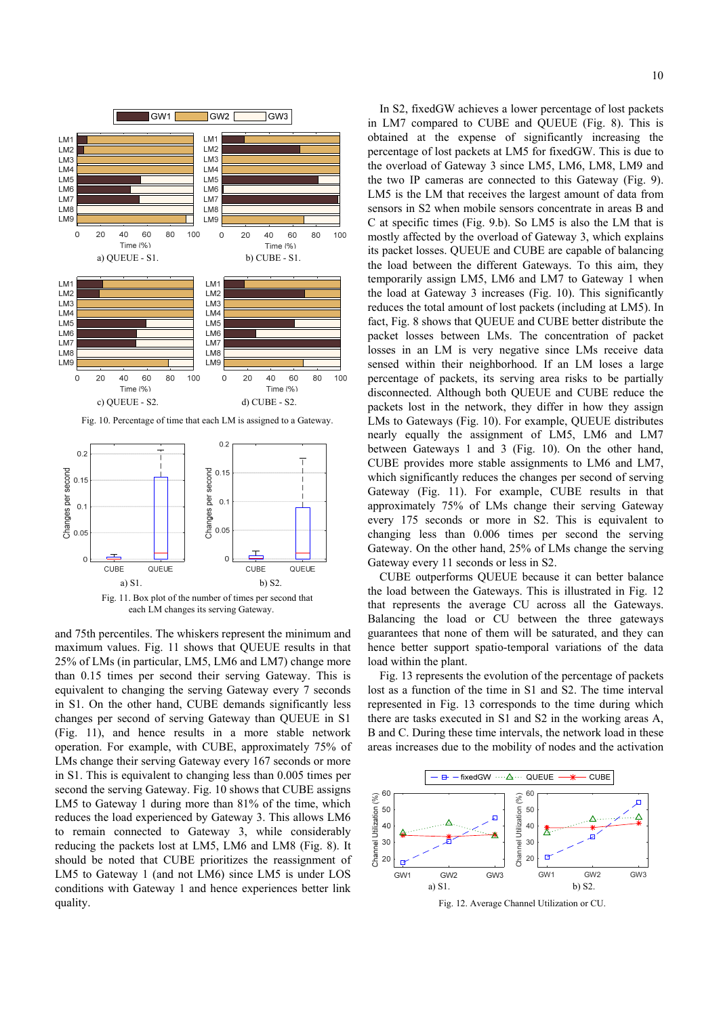

Fig. 10. Percentage of time that each LM is assigned to a Gateway.



each LM changes its serving Gateway.

and 75th percentiles. The whiskers represent the minimum and maximum values. Fig. 11 shows that QUEUE results in that 25% of LMs (in particular, LM5, LM6 and LM7) change more than 0.15 times per second their serving Gateway. This is equivalent to changing the serving Gateway every 7 seconds in S1. On the other hand, CUBE demands significantly less changes per second of serving Gateway than QUEUE in S1 (Fig. 11), and hence results in a more stable network operation. For example, with CUBE, approximately 75% of LMs change their serving Gateway every 167 seconds or more in S1. This is equivalent to changing less than 0.005 times per second the serving Gateway. Fig. 10 shows that CUBE assigns LM5 to Gateway 1 during more than 81% of the time, which reduces the load experienced by Gateway 3. This allows LM6 to remain connected to Gateway 3, while considerably reducing the packets lost at LM5, LM6 and LM8 (Fig. 8). It should be noted that CUBE prioritizes the reassignment of LM5 to Gateway 1 (and not LM6) since LM5 is under LOS conditions with Gateway 1 and hence experiences better link quality.

In S2, fixedGW achieves a lower percentage of lost packets in LM7 compared to CUBE and QUEUE (Fig. 8). This is obtained at the expense of significantly increasing the percentage of lost packets at LM5 for fixedGW. This is due to the overload of Gateway 3 since LM5, LM6, LM8, LM9 and the two IP cameras are connected to this Gateway (Fig. 9). LM5 is the LM that receives the largest amount of data from sensors in S2 when mobile sensors concentrate in areas B and C at specific times (Fig. 9.b). So LM5 is also the LM that is mostly affected by the overload of Gateway 3, which explains its packet losses. QUEUE and CUBE are capable of balancing the load between the different Gateways. To this aim, they temporarily assign LM5, LM6 and LM7 to Gateway 1 when the load at Gateway 3 increases (Fig. 10). This significantly reduces the total amount of lost packets (including at LM5). In fact, Fig. 8 shows that QUEUE and CUBE better distribute the packet losses between LMs. The concentration of packet losses in an LM is very negative since LMs receive data sensed within their neighborhood. If an LM loses a large percentage of packets, its serving area risks to be partially disconnected. Although both QUEUE and CUBE reduce the packets lost in the network, they differ in how they assign LMs to Gateways (Fig. 10). For example, QUEUE distributes nearly equally the assignment of LM5, LM6 and LM7 between Gateways 1 and 3 (Fig. 10). On the other hand, CUBE provides more stable assignments to LM6 and LM7, which significantly reduces the changes per second of serving Gateway (Fig. 11). For example, CUBE results in that approximately 75% of LMs change their serving Gateway every 175 seconds or more in S2. This is equivalent to changing less than 0.006 times per second the serving Gateway. On the other hand, 25% of LMs change the serving Gateway every 11 seconds or less in S2.

CUBE outperforms QUEUE because it can better balance the load between the Gateways. This is illustrated in Fig. 12 that represents the average CU across all the Gateways. Balancing the load or CU between the three gateways guarantees that none of them will be saturated, and they can hence better support spatio-temporal variations of the data load within the plant.

Fig. 13 represents the evolution of the percentage of packets lost as a function of the time in S1 and S2. The time interval represented in Fig. 13 corresponds to the time during which there are tasks executed in S1 and S2 in the working areas A, B and C. During these time intervals, the network load in these areas increases due to the mobility of nodes and the activation



Fig. 12. Average Channel Utilization or CU.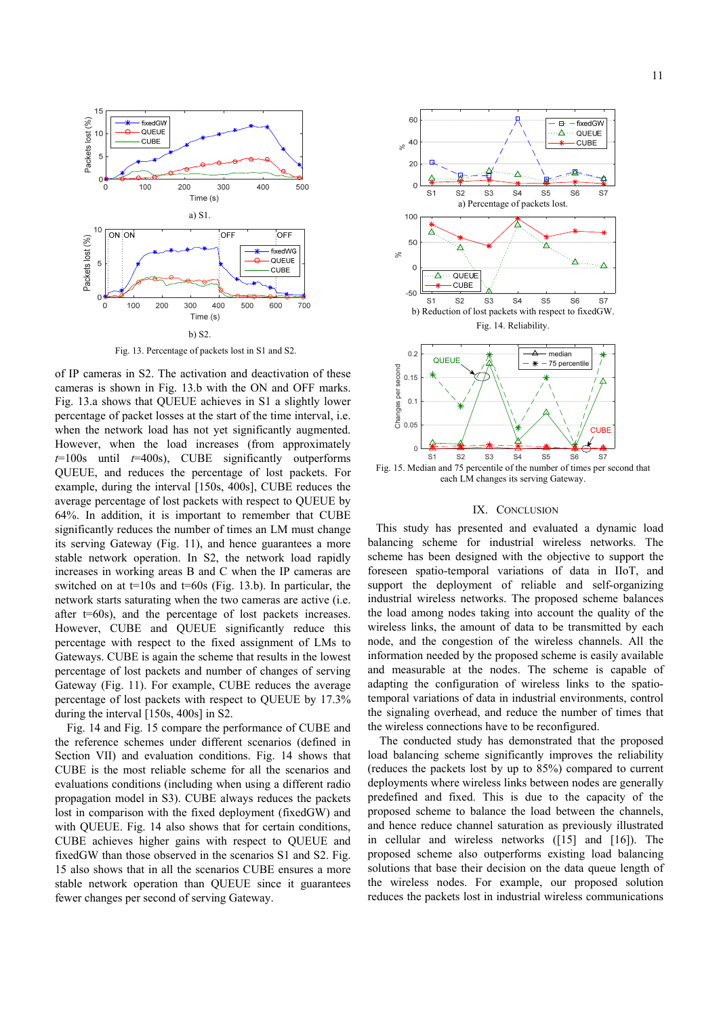

Fig. 13. Percentage of packets lost in S1 and S2.

of IP cameras in S2. The activation and deactivation of these cameras is shown in Fig. 13.b with the ON and OFF marks. Fig. 13.a shows that QUEUE achieves in S1 a slightly lower percentage of packet losses at the start of the time interval, i.e. when the network load has not yet significantly augmented. However, when the load increases (from approximately *t*=100s until *t*=400s), CUBE significantly outperforms QUEUE, and reduces the percentage of lost packets. For example, during the interval [150s, 400s], CUBE reduces the average percentage of lost packets with respect to QUEUE by 64%. In addition, it is important to remember that CUBE significantly reduces the number of times an LM must change its serving Gateway (Fig. 11), and hence guarantees a more stable network operation. In S2, the network load rapidly increases in working areas B and C when the IP cameras are switched on at  $t=10s$  and  $t=60s$  (Fig. 13.b). In particular, the network starts saturating when the two cameras are active (i.e. after  $t=60s$ , and the percentage of lost packets increases. However, CUBE and QUEUE significantly reduce this percentage with respect to the fixed assignment of LMs to Gateways. CUBE is again the scheme that results in the lowest percentage of lost packets and number of changes of serving Gateway (Fig. 11). For example, CUBE reduces the average percentage of lost packets with respect to QUEUE by 17.3% during the interval [150s, 400s] in S2.

Fig. 14 and Fig. 15 compare the performance of CUBE and the reference schemes under different scenarios (defined in Section VII) and evaluation conditions. Fig. 14 shows that CUBE is the most reliable scheme for all the scenarios and evaluations conditions (including when using a different radio propagation model in S3). CUBE always reduces the packets lost in comparison with the fixed deployment (fixedGW) and with QUEUE. Fig. 14 also shows that for certain conditions, CUBE achieves higher gains with respect to QUEUE and fixedGW than those observed in the scenarios S1 and S2. Fig. 15 also shows that in all the scenarios CUBE ensures a more stable network operation than QUEUE since it guarantees fewer changes per second of serving Gateway.



each LM changes its serving Gateway.

## IX. CONCLUSION

This study has presented and evaluated a dynamic load balancing scheme for industrial wireless networks. The scheme has been designed with the objective to support the foreseen spatio-temporal variations of data in IIoT, and support the deployment of reliable and self-organizing industrial wireless networks. The proposed scheme balances the load among nodes taking into account the quality of the wireless links, the amount of data to be transmitted by each node, and the congestion of the wireless channels. All the information needed by the proposed scheme is easily available and measurable at the nodes. The scheme is capable of adapting the configuration of wireless links to the spatiotemporal variations of data in industrial environments, control the signaling overhead, and reduce the number of times that the wireless connections have to be reconfigured.

The conducted study has demonstrated that the proposed load balancing scheme significantly improves the reliability (reduces the packets lost by up to 85%) compared to current deployments where wireless links between nodes are generally predefined and fixed. This is due to the capacity of the proposed scheme to balance the load between the channels, and hence reduce channel saturation as previously illustrated in cellular and wireless networks ([15] and [16]). The proposed scheme also outperforms existing load balancing solutions that base their decision on the data queue length of the wireless nodes. For example, our proposed solution reduces the packets lost in industrial wireless communications